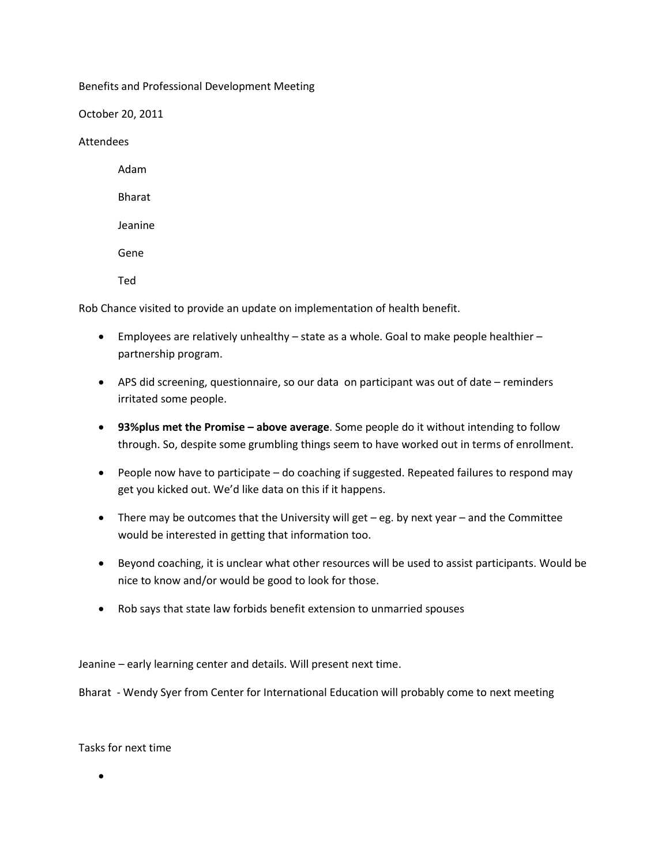Benefits and Professional Development Meeting

October 20, 2011

Attendees

Adam Bharat Jeanine Gene Ted

Rob Chance visited to provide an update on implementation of health benefit.

- **Employees are relatively unhealthy state as a whole. Goal to make people healthier** partnership program.
- APS did screening, questionnaire, so our data on participant was out of date reminders irritated some people.
- **93% plus met the Promise above average**. Some people do it without intending to follow through. So, despite some grumbling things seem to have worked out in terms of enrollment.
- People now have to participate do coaching if suggested. Repeated failures to respond may get you kicked out. We'd like data on this if it happens.
- There may be outcomes that the University will get eg. by next year and the Committee would be interested in getting that information too.
- Beyond coaching, it is unclear what other resources will be used to assist participants. Would be nice to know and/or would be good to look for those.
- Rob says that state law forbids benefit extension to unmarried spouses

Jeanine – early learning center and details. Will present next time.

Bharat - Wendy Syer from Center for International Education will probably come to next meeting

Tasks for next time

 $\bullet$